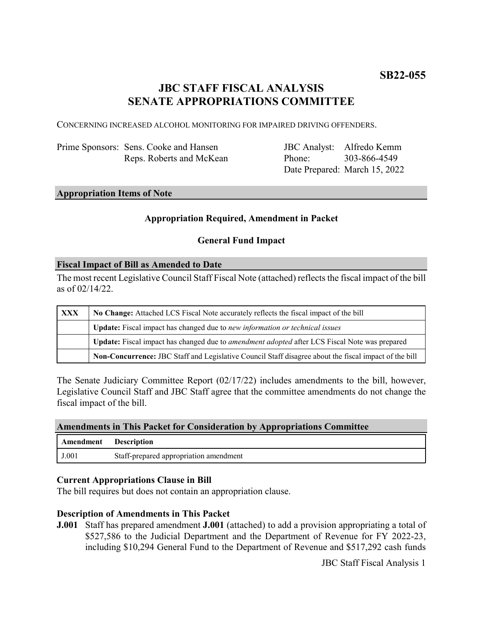# **JBC STAFF FISCAL ANALYSIS SENATE APPROPRIATIONS COMMITTEE**

CONCERNING INCREASED ALCOHOL MONITORING FOR IMPAIRED DRIVING OFFENDERS.

| Prime Sponsors: Sens. Cooke and Hansen |
|----------------------------------------|
| Reps. Roberts and McKean               |

JBC Analyst: Alfredo Kemm Phone: Date Prepared: March 15, 2022 303-866-4549

# **Appropriation Items of Note**

### **Appropriation Required, Amendment in Packet**

### **General Fund Impact**

#### **Fiscal Impact of Bill as Amended to Date**

The most recent Legislative Council Staff Fiscal Note (attached) reflects the fiscal impact of the bill as of 02/14/22.

| <b>XXX</b> | No Change: Attached LCS Fiscal Note accurately reflects the fiscal impact of the bill                       |  |
|------------|-------------------------------------------------------------------------------------------------------------|--|
|            | <b>Update:</b> Fiscal impact has changed due to new information or technical issues                         |  |
|            | <b>Update:</b> Fiscal impact has changed due to <i>amendment adopted</i> after LCS Fiscal Note was prepared |  |
|            | Non-Concurrence: JBC Staff and Legislative Council Staff disagree about the fiscal impact of the bill       |  |

The Senate Judiciary Committee Report (02/17/22) includes amendments to the bill, however, Legislative Council Staff and JBC Staff agree that the committee amendments do not change the fiscal impact of the bill.

#### **Amendments in This Packet for Consideration by Appropriations Committee**

| Amendment | <b>Description</b>                     |
|-----------|----------------------------------------|
| J.001     | Staff-prepared appropriation amendment |

#### **Current Appropriations Clause in Bill**

The bill requires but does not contain an appropriation clause.

#### **Description of Amendments in This Packet**

**J.001** Staff has prepared amendment **J.001** (attached) to add a provision appropriating a total of \$527,586 to the Judicial Department and the Department of Revenue for FY 2022-23, including \$10,294 General Fund to the Department of Revenue and \$517,292 cash funds